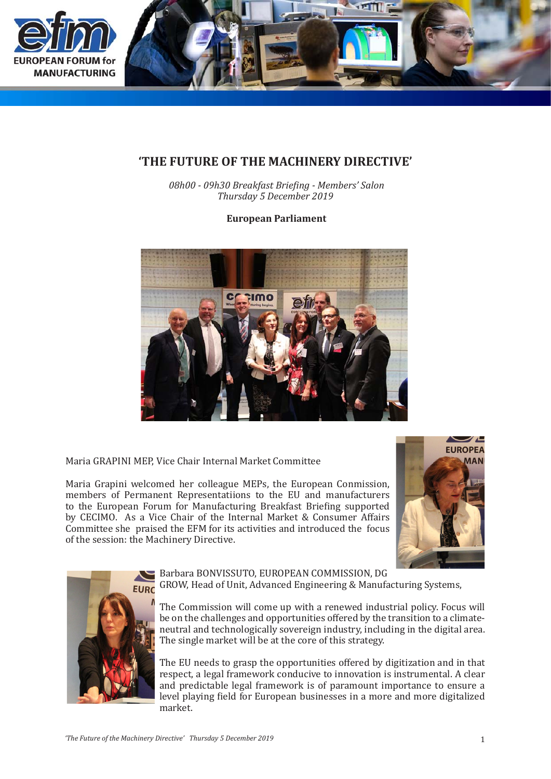

## **'THE FUTURE OF THE MACHINERY DIRECTIVE'**

*08h00 - 09h30 Breakfast Briefing - Members' Salon Thursday 5 December 2019*

**European Parliament**



Maria GRAPINI MEP, Vice Chair Internal Market Committee

Maria Grapini welcomed her colleague MEPs, the European Conmission, members of Permanent Representatiions to the EU and manufacturers to the European Forum for Manufacturing Breakfast Briefing supported by CECIMO. As a Vice Chair of the Internal Market & Consumer Affairs Committee she praised the EFM for its activities and introduced the focus of the session: the Machinery Directive.





Barbara BONVISSUTO, EUROPEAN COMMISSION, DG GROW, Head of Unit, Advanced Engineering & Manufacturing Systems,

The Commission will come up with a renewed industrial policy. Focus will be on the challenges and opportunities offered by the transition to a climateneutral and technologically sovereign industry, including in the digital area. The single market will be at the core of this strategy.

The EU needs to grasp the opportunities offered by digitization and in that respect, a legal framework conducive to innovation is instrumental. A clear and predictable legal framework is of paramount importance to ensure a level playing field for European businesses in a more and more digitalized market.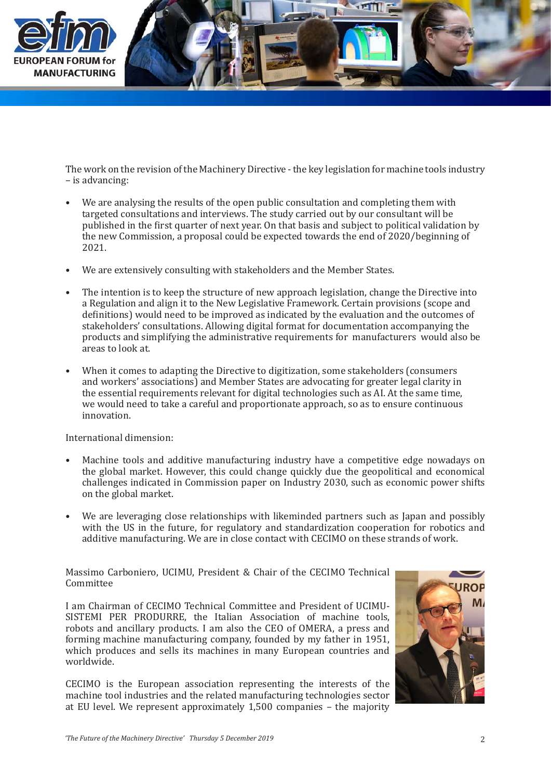

The work on the revision of the Machinery Directive - the key legislation for machine tools industry – is advancing:

- We are analysing the results of the open public consultation and completing them with targeted consultations and interviews. The study carried out by our consultant will be published in the first quarter of next year. On that basis and subject to political validation by the new Commission, a proposal could be expected towards the end of 2020/beginning of 2021. •
- We are extensively consulting with stakeholders and the Member States. •
- The intention is to keep the structure of new approach legislation, change the Directive into a Regulation and align it to the New Legislative Framework. Certain provisions (scope and definitions) would need to be improved as indicated by the evaluation and the outcomes of stakeholders' consultations. Allowing digital format for documentation accompanying the products and simplifying the administrative requirements for manufacturers would also be areas to look at. •
- When it comes to adapting the Directive to digitization, some stakeholders (consumers and workers' associations) and Member States are advocating for greater legal clarity in the essential requirements relevant for digital technologies such as AI. At the same time, we would need to take a careful and proportionate approach, so as to ensure continuous innovation. •

International dimension:

- Machine tools and additive manufacturing industry have a competitive edge nowadays on the global market. However, this could change quickly due the geopolitical and economical challenges indicated in Commission paper on Industry 2030, such as economic power shifts on the global market. •
- We are leveraging close relationships with likeminded partners such as Japan and possibly with the US in the future, for regulatory and standardization cooperation for robotics and additive manufacturing. We are in close contact with CECIMO on these strands of work. •

Massimo Carboniero, UCIMU, President & Chair of the CECIMO Technical Committee

I am Chairman of CECIMO Technical Committee and President of UCIMU-SISTEMI PER PRODURRE, the Italian Association of machine tools, robots and ancillary products. I am also the CEO of OMERA, a press and forming machine manufacturing company, founded by my father in 1951, which produces and sells its machines in many European countries and worldwide.

CECIMO is the European association representing the interests of the machine tool industries and the related manufacturing technologies sector at EU level. We represent approximately 1,500 companies – the majority

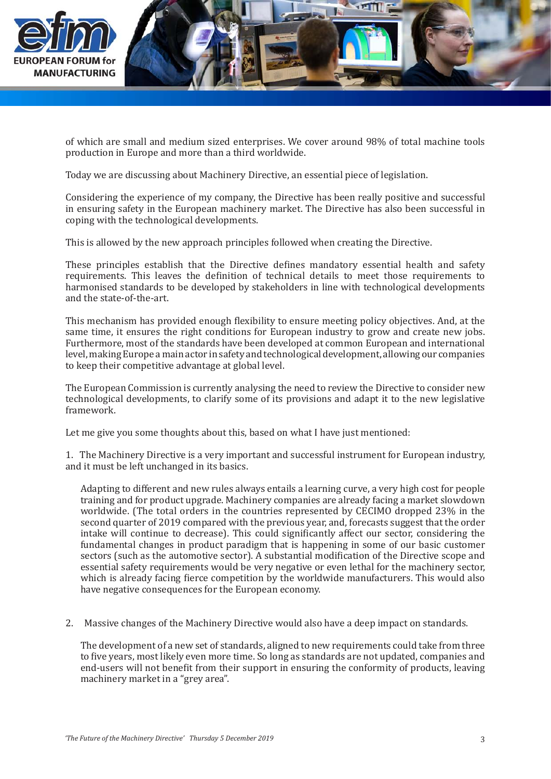

of which are small and medium sized enterprises. We cover around 98% of total machine tools production in Europe and more than a third worldwide.

Today we are discussing about Machinery Directive, an essential piece of legislation.

Considering the experience of my company, the Directive has been really positive and successful in ensuring safety in the European machinery market. The Directive has also been successful in coping with the technological developments.

This is allowed by the new approach principles followed when creating the Directive.

These principles establish that the Directive defines mandatory essential health and safety requirements. This leaves the definition of technical details to meet those requirements to harmonised standards to be developed by stakeholders in line with technological developments and the state-of-the-art.

This mechanism has provided enough flexibility to ensure meeting policy objectives. And, at the same time, it ensures the right conditions for European industry to grow and create new jobs. Furthermore, most of the standards have been developed at common European and international level, making Europe a main actor in safety and technological development, allowing our companies to keep their competitive advantage at global level.

The European Commission is currently analysing the need to review the Directive to consider new technological developments, to clarify some of its provisions and adapt it to the new legislative framework.

Let me give you some thoughts about this, based on what I have just mentioned:

1. The Machinery Directive is a very important and successful instrument for European industry, and it must be left unchanged in its basics.

Adapting to different and new rules always entails a learning curve, a very high cost for people training and for product upgrade. Machinery companies are already facing a market slowdown worldwide. (The total orders in the countries represented by CECIMO dropped 23% in the second quarter of 2019 compared with the previous year, and, forecasts suggest that the order intake will continue to decrease). This could significantly affect our sector, considering the fundamental changes in product paradigm that is happening in some of our basic customer sectors (such as the automotive sector). A substantial modification of the Directive scope and essential safety requirements would be very negative or even lethal for the machinery sector, which is already facing fierce competition by the worldwide manufacturers. This would also have negative consequences for the European economy.

2. Massive changes of the Machinery Directive would also have a deep impact on standards.

The development of a new set of standards, aligned to new requirements could take from three to five years, most likely even more time. So long as standards are not updated, companies and end-users will not benefit from their support in ensuring the conformity of products, leaving machinery market in a "grey area".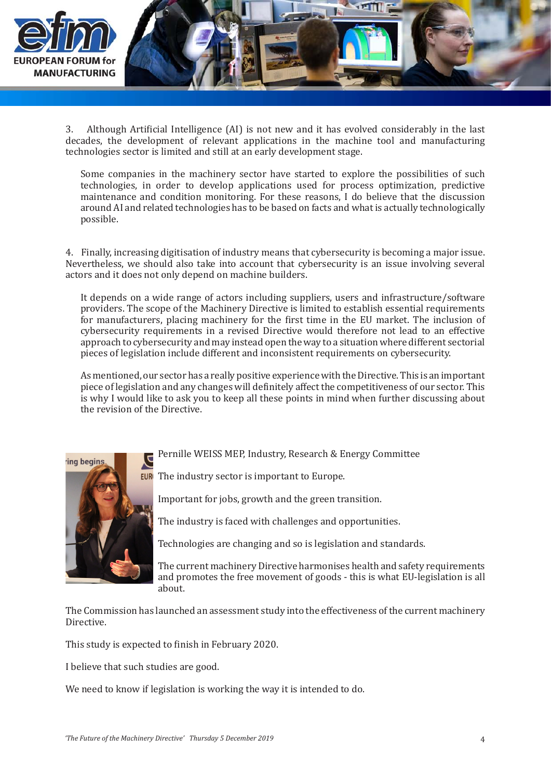

3. Although Artificial Intelligence (AI) is not new and it has evolved considerably in the last decades, the development of relevant applications in the machine tool and manufacturing technologies sector is limited and still at an early development stage.

Some companies in the machinery sector have started to explore the possibilities of such technologies, in order to develop applications used for process optimization, predictive maintenance and condition monitoring. For these reasons, I do believe that the discussion around AI and related technologies has to be based on facts and what is actually technologically possible.

4. Finally, increasing digitisation of industry means that cybersecurity is becoming a major issue. Nevertheless, we should also take into account that cybersecurity is an issue involving several actors and it does not only depend on machine builders.

It depends on a wide range of actors including suppliers, users and infrastructure/software providers. The scope of the Machinery Directive is limited to establish essential requirements for manufacturers, placing machinery for the first time in the EU market. The inclusion of cybersecurity requirements in a revised Directive would therefore not lead to an effective approach to cybersecurity and may instead open the way to a situation where different sectorial pieces of legislation include different and inconsistent requirements on cybersecurity.

As mentioned, our sector has a really positive experience with the Directive. This is an important piece of legislation and any changes will definitely affect the competitiveness of our sector. This is why I would like to ask you to keep all these points in mind when further discussing about the revision of the Directive.

Pernille WEISS MEP, Industry, Research & Energy Committee



**EUR** The industry sector is important to Europe.

Important for jobs, growth and the green transition.

The industry is faced with challenges and opportunities.

Technologies are changing and so is legislation and standards.

The current machinery Directive harmonises health and safety requirements and promotes the free movement of goods - this is what EU-legislation is all about.

The Commission has launched an assessment study into the effectiveness of the current machinery Directive.

This study is expected to finish in February 2020.

I believe that such studies are good.

We need to know if legislation is working the way it is intended to do.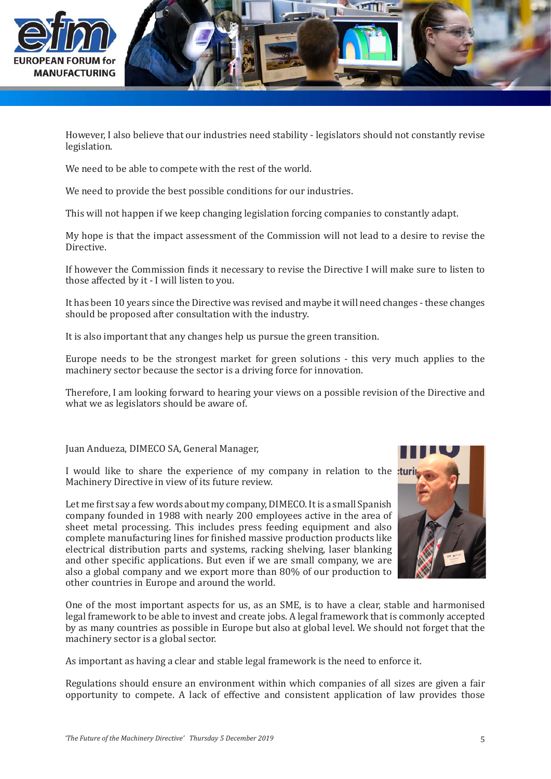

However, I also believe that our industries need stability - legislators should not constantly revise legislation.

We need to be able to compete with the rest of the world.

We need to provide the best possible conditions for our industries.

This will not happen if we keep changing legislation forcing companies to constantly adapt.

My hope is that the impact assessment of the Commission will not lead to a desire to revise the Directive.

If however the Commission finds it necessary to revise the Directive I will make sure to listen to those affected by it - I will listen to you.

It has been 10 years since the Directive was revised and maybe it will need changes - these changes should be proposed after consultation with the industry.

It is also important that any changes help us pursue the green transition.

Europe needs to be the strongest market for green solutions - this very much applies to the machinery sector because the sector is a driving force for innovation.

Therefore, I am looking forward to hearing your views on a possible revision of the Directive and what we as legislators should be aware of.

Juan Andueza, DIMECO SA, General Manager,

I would like to share the experience of my company in relation to the tu Machinery Directive in view of its future review.

Let me first say a few words about my company, DIMECO. It is a small Spanish company founded in 1988 with nearly 200 employees active in the area of sheet metal processing. This includes press feeding equipment and also complete manufacturing lines for finished massive production products like electrical distribution parts and systems, racking shelving, laser blanking and other specific applications. But even if we are small company, we are also a global company and we export more than 80% of our production to other countries in Europe and around the world.



One of the most important aspects for us, as an SME, is to have a clear, stable and harmonised legal framework to be able to invest and create jobs. A legal framework that is commonly accepted by as many countries as possible in Europe but also at global level. We should not forget that the machinery sector is a global sector.

As important as having a clear and stable legal framework is the need to enforce it.

Regulations should ensure an environment within which companies of all sizes are given a fair opportunity to compete. A lack of effective and consistent application of law provides those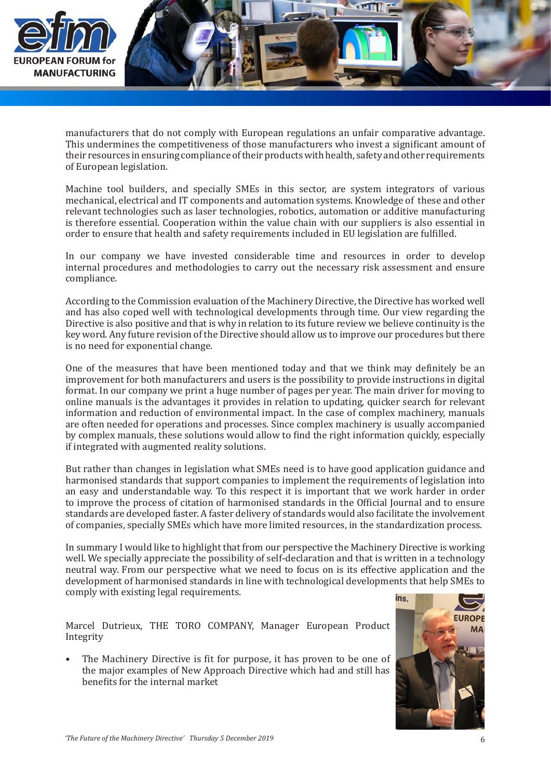

manufacturers that do not comply with European regulations an unfair comparative advantage. This undermines the competitiveness of those manufacturers who invest a significant amount of their resources in ensuring compliance of their products with health, safety and other requirements of European legislation.

Machine tool builders, and specially SMEs in this sector, are system integrators of various mechanical, electrical and IT components and automation systems. Knowledge of these and other relevant technologies such as laser technologies, robotics, automation or additive manufacturing is therefore essential. Cooperation within the value chain with our suppliers is also essential in order to ensure that health and safety requirements included in EU legislation are fulfilled.

In our company we have invested considerable time and resources in order to develop internal procedures and methodologies to carry out the necessary risk assessment and ensure compliance.

According to the Commission evaluation of the Machinery Directive, the Directive has worked well and has also coped well with technological developments through time. Our view regarding the Directive is also positive and that is why in relation to its future review we believe continuity is the key word. Any future revision of the Directive should allow us to improve our procedures but there is no need for exponential change.

One of the measures that have been mentioned today and that we think may definitely be an improvement for both manufacturers and users is the possibility to provide instructions in digital format. In our company we print a huge number of pages per year. The main driver for moving to online manuals is the advantages it provides in relation to updating, quicker search for relevant information and reduction of environmental impact. In the case of complex machinery, manuals are often needed for operations and processes. Since complex machinery is usually accompanied by complex manuals, these solutions would allow to find the right information quickly, especially if integrated with augmented reality solutions.

But rather than changes in legislation what SMEs need is to have good application guidance and harmonised standards that support companies to implement the requirements of legislation into an easy and understandable way. To this respect it is important that we work harder in order to improve the process of citation of harmonised standards in the Official Journal and to ensure standards are developed faster. A faster delivery of standards would also facilitate the involvement of companies, specially SMEs which have more limited resources, in the standardization process.

In summary I would like to highlight that from our perspective the Machinery Directive is working well. We specially appreciate the possibility of self-declaration and that is written in a technology neutral way. From our perspective what we need to focus on is its effective application and the development of harmonised standards in line with technological developments that help SMEs to comply with existing legal requirements.

Marcel Dutrieux, THE TORO COMPANY, Manager European Product Integrity

The Machinery Directive is fit for purpose, it has proven to be one of the major examples of New Approach Directive which had and still has benefits for the internal market •

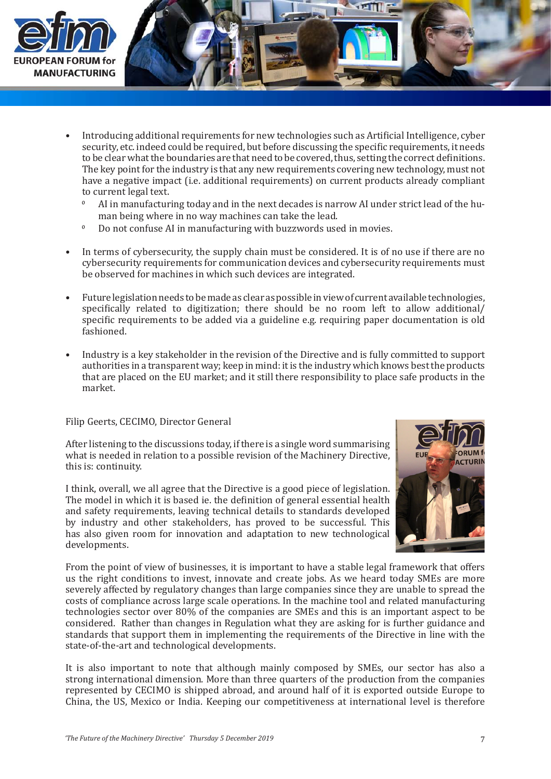

- Introducing additional requirements for new technologies such as Artificial Intelligence, cyber security, etc. indeed could be required, but before discussing the specific requirements, it needs to be clear what the boundaries are that need to be covered, thus, setting the correct definitions. The key point for the industry is that any new requirements covering new technology, must not have a negative impact (i.e. additional requirements) on current products already compliant to current legal text. •
	- AI in manufacturing today and in the next decades is narrow AI under strict lead of the human being where in no way machines can take the lead.  $\Omega$
	- Do not confuse AI in manufacturing with buzzwords used in movies.  $\mathbf 0$
- In terms of cybersecurity, the supply chain must be considered. It is of no use if there are no cybersecurity requirements for communication devices and cybersecurity requirements must be observed for machines in which such devices are integrated. •
- Future legislation needs to be made as clear as possible in view of current available technologies, specifically related to digitization; there should be no room left to allow additional/ specific requirements to be added via a guideline e.g. requiring paper documentation is old fashioned. •
- Industry is a key stakeholder in the revision of the Directive and is fully committed to support authorities in a transparent way; keep in mind: it is the industry which knows best the products that are placed on the EU market; and it still there responsibility to place safe products in the market. •

## Filip Geerts, CECIMO, Director General

After listening to the discussions today, if there is a single word summarising what is needed in relation to a possible revision of the Machinery Directive, this is: continuity.

I think, overall, we all agree that the Directive is a good piece of legislation. The model in which it is based ie. the definition of general essential health and safety requirements, leaving technical details to standards developed by industry and other stakeholders, has proved to be successful. This has also given room for innovation and adaptation to new technological developments.



From the point of view of businesses, it is important to have a stable legal framework that offers us the right conditions to invest, innovate and create jobs. As we heard today SMEs are more severely affected by regulatory changes than large companies since they are unable to spread the costs of compliance across large scale operations. In the machine tool and related manufacturing technologies sector over 80% of the companies are SMEs and this is an important aspect to be considered. Rather than changes in Regulation what they are asking for is further guidance and standards that support them in implementing the requirements of the Directive in line with the state-of-the-art and technological developments.

It is also important to note that although mainly composed by SMEs, our sector has also a strong international dimension. More than three quarters of the production from the companies represented by CECIMO is shipped abroad, and around half of it is exported outside Europe to China, the US, Mexico or India. Keeping our competitiveness at international level is therefore